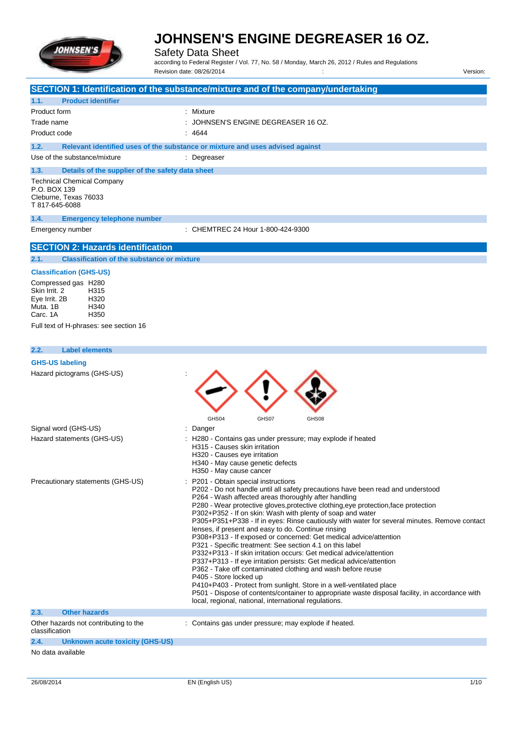

Safety Data Sheet

according to Federal Register / Vol. 77, No. 58 / Monday, March 26, 2012 / Rules and Regulations

|                                                           | Revision date: 08/26/2014                                                                                                                                | Version: |
|-----------------------------------------------------------|----------------------------------------------------------------------------------------------------------------------------------------------------------|----------|
|                                                           | SECTION 1: Identification of the substance/mixture and of the company/undertaking                                                                        |          |
| <b>Product identifier</b><br>1.1.                         |                                                                                                                                                          |          |
| Product form                                              | : Mixture                                                                                                                                                |          |
| Trade name                                                | JOHNSEN'S ENGINE DEGREASER 16 OZ.                                                                                                                        |          |
| Product code                                              | 4644                                                                                                                                                     |          |
| 1.2.                                                      | Relevant identified uses of the substance or mixture and uses advised against                                                                            |          |
| Use of the substance/mixture                              | : Degreaser                                                                                                                                              |          |
| 1.3.<br>Details of the supplier of the safety data sheet  |                                                                                                                                                          |          |
| <b>Technical Chemical Company</b>                         |                                                                                                                                                          |          |
| P.O. BOX 139                                              |                                                                                                                                                          |          |
| Cleburne, Texas 76033                                     |                                                                                                                                                          |          |
| T 817-645-6088                                            |                                                                                                                                                          |          |
| 1.4.<br><b>Emergency telephone number</b>                 |                                                                                                                                                          |          |
| Emergency number                                          | : CHEMTREC 24 Hour 1-800-424-9300                                                                                                                        |          |
|                                                           |                                                                                                                                                          |          |
| <b>SECTION 2: Hazards identification</b>                  |                                                                                                                                                          |          |
| 2.1.<br><b>Classification of the substance or mixture</b> |                                                                                                                                                          |          |
| <b>Classification (GHS-US)</b>                            |                                                                                                                                                          |          |
| Compressed gas H280                                       |                                                                                                                                                          |          |
| Skin Irrit. 2<br>H315<br>Eye Irrit. 2B<br>H320            |                                                                                                                                                          |          |
| Muta, 1B<br>H340                                          |                                                                                                                                                          |          |
| H <sub>350</sub><br>Carc. 1A                              |                                                                                                                                                          |          |
| Full text of H-phrases: see section 16                    |                                                                                                                                                          |          |
|                                                           |                                                                                                                                                          |          |
| <b>Label elements</b><br>2.2.                             |                                                                                                                                                          |          |
| <b>GHS-US labeling</b>                                    |                                                                                                                                                          |          |
| Hazard pictograms (GHS-US)                                |                                                                                                                                                          |          |
|                                                           |                                                                                                                                                          |          |
|                                                           |                                                                                                                                                          |          |
|                                                           |                                                                                                                                                          |          |
|                                                           | GHS04<br>GHS07<br>GHS08                                                                                                                                  |          |
| Signal word (GHS-US)                                      | Danger                                                                                                                                                   |          |
| Hazard statements (GHS-US)                                | H280 - Contains gas under pressure; may explode if heated                                                                                                |          |
|                                                           | H315 - Causes skin irritation                                                                                                                            |          |
|                                                           | H320 - Causes eye irritation<br>H340 - May cause genetic defects                                                                                         |          |
|                                                           | H350 - May cause cancer                                                                                                                                  |          |
| Precautionary statements (GHS-US)                         | P201 - Obtain special instructions                                                                                                                       |          |
|                                                           | P202 - Do not handle until all safety precautions have been read and understood                                                                          |          |
|                                                           | P264 - Wash affected areas thoroughly after handling<br>P280 - Wear protective gloves, protective clothing, eye protection, face protection              |          |
|                                                           | P302+P352 - If on skin: Wash with plenty of soap and water                                                                                               |          |
|                                                           | P305+P351+P338 - If in eyes: Rinse cautiously with water for several minutes. Remove contact                                                             |          |
|                                                           | lenses, if present and easy to do. Continue rinsing<br>P308+P313 - If exposed or concerned: Get medical advice/attention                                 |          |
|                                                           | P321 - Specific treatment: See section 4.1 on this label                                                                                                 |          |
|                                                           | P332+P313 - If skin irritation occurs: Get medical advice/attention                                                                                      |          |
|                                                           | P337+P313 - If eye irritation persists: Get medical advice/attention<br>P362 - Take off contaminated clothing and wash before reuse                      |          |
|                                                           | P405 - Store locked up                                                                                                                                   |          |
|                                                           | P410+P403 - Protect from sunlight. Store in a well-ventilated place                                                                                      |          |
|                                                           | P501 - Dispose of contents/container to appropriate waste disposal facility, in accordance with<br>local, regional, national, international regulations. |          |
| 2.3.<br><b>Other hazards</b>                              |                                                                                                                                                          |          |
| Other hazards not contributing to the                     | : Contains gas under pressure; may explode if heated.                                                                                                    |          |
| classification                                            |                                                                                                                                                          |          |
| 2.4.<br>Unknown acute toxicity (GHS-US)                   |                                                                                                                                                          |          |
| No data available                                         |                                                                                                                                                          |          |
|                                                           |                                                                                                                                                          |          |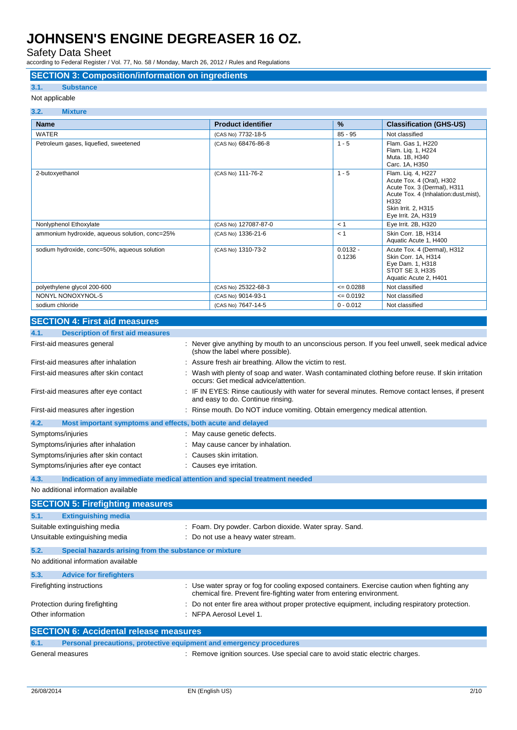Safety Data Sheet

according to Federal Register / Vol. 77, No. 58 / Monday, March 26, 2012 / Rules and Regulations

#### **SECTION 3: Composition/information on ingredients**

### **3.1. Substance**

Not applicable

| 3.2.<br><b>Mixture</b>                         |                           |                      |                                                                                                                                                                                |
|------------------------------------------------|---------------------------|----------------------|--------------------------------------------------------------------------------------------------------------------------------------------------------------------------------|
| <b>Name</b>                                    | <b>Product identifier</b> | $\frac{9}{6}$        | <b>Classification (GHS-US)</b>                                                                                                                                                 |
| <b>WATER</b>                                   | (CAS No) 7732-18-5        | $85 - 95$            | Not classified                                                                                                                                                                 |
| Petroleum gases, liquefied, sweetened          | (CAS No) 68476-86-8       | $1 - 5$              | Flam. Gas 1, H220<br>Flam. Lig. 1, H224<br>Muta. 1B, H340<br>Carc. 1A, H350                                                                                                    |
| 2-butoxyethanol                                | (CAS No) 111-76-2         | $1 - 5$              | Flam. Liq. 4, H227<br>Acute Tox. 4 (Oral), H302<br>Acute Tox. 3 (Dermal), H311<br>Acute Tox. 4 (Inhalation: dust, mist),<br>H332<br>Skin Irrit. 2. H315<br>Eye Irrit. 2A, H319 |
| Nonlyphenol Ethoxylate                         | (CAS No) 127087-87-0      | < 1                  | Eye Irrit. 2B, H320                                                                                                                                                            |
| ammonium hydroxide, aqueous solution, conc=25% | (CAS No) 1336-21-6        | < 1                  | Skin Corr. 1B, H314<br>Aquatic Acute 1, H400                                                                                                                                   |
| sodium hydroxide, conc=50%, aqueous solution   | (CAS No) 1310-73-2        | $0.0132 -$<br>0.1236 | Acute Tox. 4 (Dermal), H312<br>Skin Corr. 1A, H314<br>Eye Dam. 1, H318<br>STOT SE 3, H335<br>Aquatic Acute 2, H401                                                             |
| polyethylene glycol 200-600                    | (CAS No) 25322-68-3       | $= 0.0288$           | Not classified                                                                                                                                                                 |
| NONYL NONOXYNOL-5                              | (CAS No) 9014-93-1        | $\leq 0.0192$        | Not classified                                                                                                                                                                 |
| sodium chloride                                | (CAS No) 7647-14-5        | $0 - 0.012$          | Not classified                                                                                                                                                                 |

#### **SECTION 4: First aid measures**

| <b>Description of first aid measures</b><br>4.1.                    |                                                                                                                                                                      |
|---------------------------------------------------------------------|----------------------------------------------------------------------------------------------------------------------------------------------------------------------|
| First-aid measures general                                          | : Never give anything by mouth to an unconscious person. If you feel unwell, seek medical advice<br>(show the label where possible).                                 |
| First-aid measures after inhalation                                 | : Assure fresh air breathing. Allow the victim to rest.                                                                                                              |
| First-aid measures after skin contact                               | : Wash with plenty of soap and water. Wash contaminated clothing before reuse. If skin irritation<br>occurs: Get medical advice/attention.                           |
| First-aid measures after eye contact                                | : IF IN EYES: Rinse cautiously with water for several minutes. Remove contact lenses, if present<br>and easy to do. Continue rinsing.                                |
| First-aid measures after ingestion                                  | : Rinse mouth. Do NOT induce vomiting. Obtain emergency medical attention.                                                                                           |
| 4.2.<br>Most important symptoms and effects, both acute and delayed |                                                                                                                                                                      |
| Symptoms/injuries                                                   | : May cause genetic defects.                                                                                                                                         |
| Symptoms/injuries after inhalation                                  | : May cause cancer by inhalation.                                                                                                                                    |
| Symptoms/injuries after skin contact                                | : Causes skin irritation.                                                                                                                                            |
| Symptoms/injuries after eye contact                                 | : Causes eye irritation.                                                                                                                                             |
| 4.3.                                                                | Indication of any immediate medical attention and special treatment needed                                                                                           |
| No additional information available                                 |                                                                                                                                                                      |
| <b>SECTION 5: Firefighting measures</b>                             |                                                                                                                                                                      |
| 5.1.<br><b>Extinguishing media</b>                                  |                                                                                                                                                                      |
| Suitable extinguishing media                                        | : Foam. Dry powder. Carbon dioxide. Water spray. Sand.                                                                                                               |
| Unsuitable extinguishing media                                      | : Do not use a heavy water stream.                                                                                                                                   |
| 5.2.<br>Special hazards arising from the substance or mixture       |                                                                                                                                                                      |
| No additional information available                                 |                                                                                                                                                                      |
| 5.3.<br><b>Advice for firefighters</b>                              |                                                                                                                                                                      |
| Firefighting instructions                                           | : Use water spray or fog for cooling exposed containers. Exercise caution when fighting any<br>chemical fire. Prevent fire-fighting water from entering environment. |

|      | Other information                             | : NFPA Aerosol Level 1.                                                       |
|------|-----------------------------------------------|-------------------------------------------------------------------------------|
|      | <b>SECTION 6: Accidental release measures</b> |                                                                               |
| 6.1. |                                               | Personal precautions, protective equipment and emergency procedures           |
|      | General measures                              | : Remove ignition sources. Use special care to avoid static electric charges. |

Protection during firefighting  $\blacksquare$ : Do not enter fire area without proper protective equipment, including respiratory protection.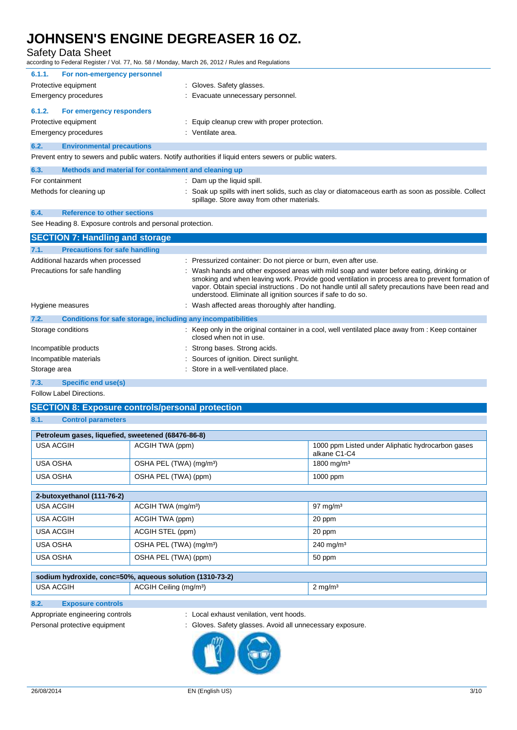# Safety Data Sheet<br>according to Federal Register / \

according to Federal Register / Vol. 77, No. 58 / Monday, March 26, 2012 / Rules and Regulations

|        | ccording to Federal Register / Vol. 77, No. 58 / Monday, March 26, 2012 / Rules and Regulations |                                                                                                                                                                                                                                                                                                                                                                 |
|--------|-------------------------------------------------------------------------------------------------|-----------------------------------------------------------------------------------------------------------------------------------------------------------------------------------------------------------------------------------------------------------------------------------------------------------------------------------------------------------------|
| 6.1.1. | For non-emergency personnel                                                                     |                                                                                                                                                                                                                                                                                                                                                                 |
|        | Protective equipment                                                                            | Gloves. Safety glasses.                                                                                                                                                                                                                                                                                                                                         |
|        | <b>Emergency procedures</b>                                                                     | Evacuate unnecessary personnel.                                                                                                                                                                                                                                                                                                                                 |
| 6.1.2. | For emergency responders                                                                        |                                                                                                                                                                                                                                                                                                                                                                 |
|        | Protective equipment                                                                            | Equip cleanup crew with proper protection.                                                                                                                                                                                                                                                                                                                      |
|        | <b>Emergency procedures</b>                                                                     | : Ventilate area.                                                                                                                                                                                                                                                                                                                                               |
| 6.2.   | <b>Environmental precautions</b>                                                                |                                                                                                                                                                                                                                                                                                                                                                 |
|        |                                                                                                 | Prevent entry to sewers and public waters. Notify authorities if liquid enters sewers or public waters.                                                                                                                                                                                                                                                         |
| 6.3.   | Methods and material for containment and cleaning up                                            |                                                                                                                                                                                                                                                                                                                                                                 |
|        | For containment                                                                                 | : Dam up the liquid spill.                                                                                                                                                                                                                                                                                                                                      |
|        | Methods for cleaning up                                                                         | : Soak up spills with inert solids, such as clay or diatomaceous earth as soon as possible. Collect<br>spillage. Store away from other materials.                                                                                                                                                                                                               |
| 6.4.   | <b>Reference to other sections</b>                                                              |                                                                                                                                                                                                                                                                                                                                                                 |
|        | See Heading 8. Exposure controls and personal protection.                                       |                                                                                                                                                                                                                                                                                                                                                                 |
|        | <b>SECTION 7: Handling and storage</b>                                                          |                                                                                                                                                                                                                                                                                                                                                                 |
| 7.1.   | <b>Precautions for safe handling</b>                                                            |                                                                                                                                                                                                                                                                                                                                                                 |
|        | Additional hazards when processed                                                               | Pressurized container: Do not pierce or burn, even after use.                                                                                                                                                                                                                                                                                                   |
|        | Precautions for safe handling                                                                   | Wash hands and other exposed areas with mild soap and water before eating, drinking or<br>smoking and when leaving work. Provide good ventilation in process area to prevent formation of<br>vapor. Obtain special instructions . Do not handle until all safety precautions have been read and<br>understood. Eliminate all ignition sources if safe to do so. |
|        | Hygiene measures                                                                                | : Wash affected areas thoroughly after handling.                                                                                                                                                                                                                                                                                                                |
| 7.2.   | Conditions for safe storage, including any incompatibilities                                    |                                                                                                                                                                                                                                                                                                                                                                 |
|        | Storage conditions                                                                              | : Keep only in the original container in a cool, well ventilated place away from : Keep container<br>closed when not in use.                                                                                                                                                                                                                                    |
|        | Incompatible products                                                                           | Strong bases. Strong acids.                                                                                                                                                                                                                                                                                                                                     |
|        | Incompatible materials                                                                          | Sources of ignition. Direct sunlight.                                                                                                                                                                                                                                                                                                                           |

Storage area : Store in a well-ventilated place.

**7.3. Specific end use(s)**

Follow Label Directions.

### **SECTION 8: Exposure controls/personal protection**

### **8.1. Control parameters**

| Petroleum gases, liquefied, sweetened (68476-86-8) |                                     |                                                                   |  |  |
|----------------------------------------------------|-------------------------------------|-------------------------------------------------------------------|--|--|
| USA ACGIH                                          | ACGIH TWA (ppm)                     | 1000 ppm Listed under Aliphatic hydrocarbon gases<br>alkane C1-C4 |  |  |
| USA OSHA                                           | OSHA PEL (TWA) (mg/m <sup>3</sup> ) | 1800 mg/m <sup>3</sup>                                            |  |  |
| USA OSHA                                           | OSHA PEL (TWA) (ppm)                | $1000$ ppm                                                        |  |  |
|                                                    |                                     |                                                                   |  |  |

| 2-butoxyethanol (111-76-2) |                                     |                         |  |  |  |
|----------------------------|-------------------------------------|-------------------------|--|--|--|
| <b>USA ACGIH</b>           | ACGIH TWA (mg/m <sup>3</sup> )      | $97 \text{ mg/m}^3$     |  |  |  |
| USA ACGIH                  | ACGIH TWA (ppm)                     | 20 ppm                  |  |  |  |
| <b>USA ACGIH</b>           | ACGIH STEL (ppm)                    | 20 ppm                  |  |  |  |
| USA OSHA                   | OSHA PEL (TWA) (mg/m <sup>3</sup> ) | $240 \,\mathrm{mg/m^3}$ |  |  |  |
| <b>USA OSHA</b>            | OSHA PEL (TWA) (ppm)                | 50 ppm                  |  |  |  |

| sodium hydroxide, conc=50%, aqueous solution (1310-73-2) |                                    |                     |  |  |
|----------------------------------------------------------|------------------------------------|---------------------|--|--|
| 'USA ACGIH                                               | ACGIH Ceiling (mg/m <sup>3</sup> ) | ∠ ma/m <sup>3</sup> |  |  |

### **8.2. Exposure controls**

- Appropriate engineering controls : Local exhaust venilation, vent hoods.
- Personal protective equipment : Gloves. Safety glasses. Avoid all unnecessary exposure.

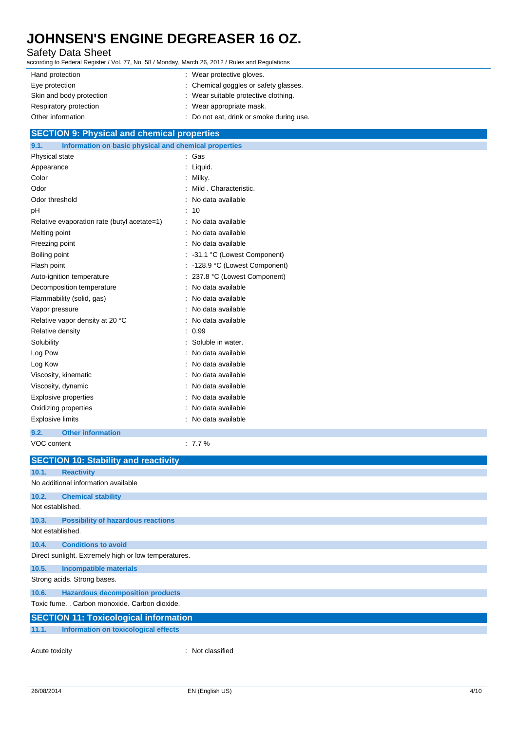#### Safety Data Sheet

according to Federal Register / Vol. 77, No. 58 / Monday, March 26, 2012 / Rules and Regulations

| Hand protection          | : Wear protective gloves.              |
|--------------------------|----------------------------------------|
| Eye protection           | : Chemical goggles or safety glasses.  |
| Skin and body protection | : Wear suitable protective clothing.   |
| Respiratory protection   | : Wear appropriate mask.               |
| Other information        | Do not eat, drink or smoke during use. |

#### **SECTION 9: Physical and chemical properties**

| Information on basic physical and chemical properties<br>9.1. |                                |
|---------------------------------------------------------------|--------------------------------|
| Physical state                                                | : Gas                          |
| Appearance                                                    | : Liquid.                      |
| Color                                                         | Milky.                         |
| Odor                                                          | Mild, Characteristic.          |
| Odor threshold                                                | No data available              |
| pH                                                            | 10                             |
| Relative evaporation rate (butyl acetate=1)                   | No data available              |
| Melting point                                                 | No data available              |
| Freezing point                                                | No data available              |
| Boiling point                                                 | : -31.1 °C (Lowest Component)  |
| Flash point                                                   | : -128.9 °C (Lowest Component) |
| Auto-ignition temperature                                     | 237.8 °C (Lowest Component)    |
| Decomposition temperature                                     | No data available              |
| Flammability (solid, gas)                                     | No data available              |
| Vapor pressure                                                | No data available              |
| Relative vapor density at 20 °C                               | No data available              |
| Relative density                                              | : 0.99                         |
| Solubility                                                    | Soluble in water.              |
| Log Pow                                                       | No data available              |
| Log Kow                                                       | No data available              |
| Viscosity, kinematic                                          | No data available              |
| Viscosity, dynamic                                            | No data available              |
| Explosive properties                                          | No data available              |
| Oxidizing properties                                          | No data available              |
| <b>Explosive limits</b>                                       | No data available              |
| <b>Other information</b><br>9.2.                              |                                |
| VOC content                                                   | $: 7.7\%$                      |

|                  | <b>SECTION 10: Stability and reactivity</b>          |                  |
|------------------|------------------------------------------------------|------------------|
| 10.1.            | <b>Reactivity</b>                                    |                  |
|                  | No additional information available                  |                  |
| 10.2.            | <b>Chemical stability</b>                            |                  |
| Not established. |                                                      |                  |
| 10.3.            | <b>Possibility of hazardous reactions</b>            |                  |
| Not established. |                                                      |                  |
| 10.4.            | <b>Conditions to avoid</b>                           |                  |
|                  | Direct sunlight. Extremely high or low temperatures. |                  |
| 10.5.            | <b>Incompatible materials</b>                        |                  |
|                  | Strong acids. Strong bases.                          |                  |
| 10.6.            | <b>Hazardous decomposition products</b>              |                  |
|                  | Toxic fume. . Carbon monoxide. Carbon dioxide.       |                  |
|                  | <b>SECTION 11: Toxicological information</b>         |                  |
| 11.1.            | Information on toxicological effects                 |                  |
| Acute toxicity   |                                                      | : Not classified |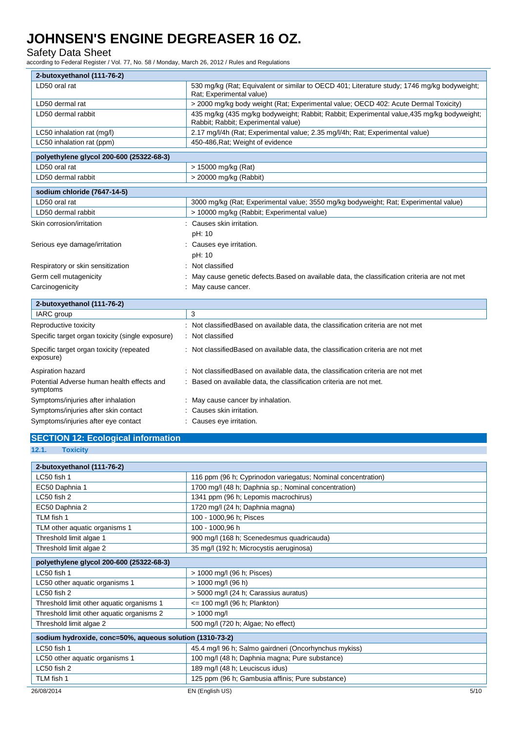#### Safety Data Sheet

according to Federal Register / Vol. 77, No. 58 / Monday, March 26, 2012 / Rules and Regulations

| 2-butoxyethanol (111-76-2)                             |                                                                                                                                   |
|--------------------------------------------------------|-----------------------------------------------------------------------------------------------------------------------------------|
| LD50 oral rat                                          | 530 mg/kg (Rat; Equivalent or similar to OECD 401; Literature study; 1746 mg/kg bodyweight;<br>Rat; Experimental value)           |
| LD50 dermal rat                                        | > 2000 mg/kg body weight (Rat; Experimental value; OECD 402: Acute Dermal Toxicity)                                               |
| LD50 dermal rabbit                                     | 435 mg/kg (435 mg/kg bodyweight; Rabbit; Rabbit; Experimental value, 435 mg/kg bodyweight;<br>Rabbit; Rabbit; Experimental value) |
| LC50 inhalation rat (mg/l)                             | 2.17 mg/l/4h (Rat; Experimental value; 2.35 mg/l/4h; Rat; Experimental value)                                                     |
| LC50 inhalation rat (ppm)                              | 450-486, Rat; Weight of evidence                                                                                                  |
| polyethylene glycol 200-600 (25322-68-3)               |                                                                                                                                   |
| LD50 oral rat                                          | > 15000 mg/kg (Rat)                                                                                                               |
| LD50 dermal rabbit                                     | > 20000 mg/kg (Rabbit)                                                                                                            |
| sodium chloride (7647-14-5)                            |                                                                                                                                   |
| LD50 oral rat                                          | 3000 mg/kg (Rat; Experimental value; 3550 mg/kg bodyweight; Rat; Experimental value)                                              |
| LD50 dermal rabbit                                     | > 10000 mg/kg (Rabbit; Experimental value)                                                                                        |
| Skin corrosion/irritation                              | Causes skin irritation.                                                                                                           |
|                                                        | pH: 10                                                                                                                            |
| Serious eye damage/irritation                          | Causes eye irritation.                                                                                                            |
|                                                        | pH: 10                                                                                                                            |
| Respiratory or skin sensitization                      | Not classified                                                                                                                    |
| Germ cell mutagenicity                                 | May cause genetic defects. Based on available data, the classification criteria are not met                                       |
| Carcinogenicity                                        | May cause cancer.                                                                                                                 |
| 2-butoxyethanol (111-76-2)                             |                                                                                                                                   |
| IARC group                                             | 3                                                                                                                                 |
| Reproductive toxicity                                  | Not classified Based on available data, the classification criteria are not met                                                   |
| Specific target organ toxicity (single exposure)       | : Not classified                                                                                                                  |
| Specific target organ toxicity (repeated<br>exposure)  | : Not classifiedBased on available data, the classification criteria are not met                                                  |
| Aspiration hazard                                      | Not classified Based on available data, the classification criteria are not met                                                   |
| Potential Adverse human health effects and<br>symptoms | Based on available data, the classification criteria are not met.                                                                 |
| Symptoms/injuries after inhalation                     | May cause cancer by inhalation.                                                                                                   |
| Symptoms/injuries after skin contact                   | Causes skin irritation.                                                                                                           |
| Symptoms/injuries after eye contact                    | Causes eye irritation.                                                                                                            |

### **SECTION 12: Ecological information**

**<sup>12.1.</sup> Toxicity**

| 2-butoxyethanol (111-76-2)                               |                                                              |      |  |
|----------------------------------------------------------|--------------------------------------------------------------|------|--|
| LC50 fish 1                                              | 116 ppm (96 h; Cyprinodon variegatus; Nominal concentration) |      |  |
| EC50 Daphnia 1                                           | 1700 mg/l (48 h; Daphnia sp.; Nominal concentration)         |      |  |
| LC50 fish 2                                              | 1341 ppm (96 h; Lepomis macrochirus)                         |      |  |
| EC50 Daphnia 2                                           | 1720 mg/l (24 h; Daphnia magna)                              |      |  |
| TLM fish 1                                               | 100 - 1000,96 h; Pisces                                      |      |  |
| TLM other aquatic organisms 1                            | 100 - 1000,96 h                                              |      |  |
| Threshold limit algae 1                                  | 900 mg/l (168 h; Scenedesmus quadricauda)                    |      |  |
| Threshold limit algae 2                                  | 35 mg/l (192 h; Microcystis aeruginosa)                      |      |  |
| polyethylene glycol 200-600 (25322-68-3)                 |                                                              |      |  |
| LC50 fish 1                                              | > 1000 mg/l (96 h; Pisces)                                   |      |  |
| LC50 other aquatic organisms 1                           | $> 1000$ mg/l (96 h)                                         |      |  |
| LC50 fish 2                                              | > 5000 mg/l (24 h; Carassius auratus)                        |      |  |
| Threshold limit other aquatic organisms 1                | $\epsilon$ = 100 mg/l (96 h; Plankton)                       |      |  |
| Threshold limit other aquatic organisms 2                | $> 1000$ mg/l                                                |      |  |
| Threshold limit algae 2                                  | 500 mg/l (720 h; Algae; No effect)                           |      |  |
| sodium hydroxide, conc=50%, aqueous solution (1310-73-2) |                                                              |      |  |
| LC50 fish 1                                              | 45.4 mg/l 96 h; Salmo gairdneri (Oncorhynchus mykiss)        |      |  |
| LC50 other aquatic organisms 1                           | 100 mg/l (48 h; Daphnia magna; Pure substance)               |      |  |
| LC50 fish 2                                              | 189 mg/l (48 h; Leuciscus idus)                              |      |  |
| TLM fish 1                                               | 125 ppm (96 h; Gambusia affinis; Pure substance)             |      |  |
| 26/08/2014                                               | EN (English US)                                              | 5/10 |  |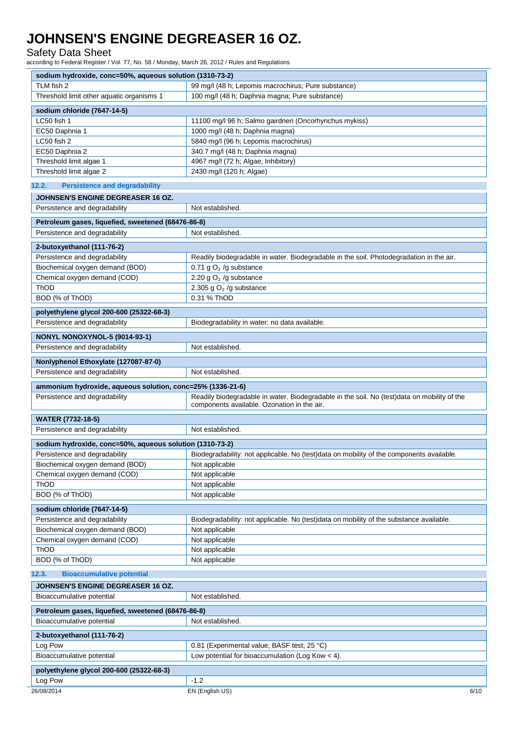Safety Data Sheet

according to Federal Register / Vol. 77, No. 58 / Monday, March 26, 2012 / Rules and Regulations

| sodium hydroxide, conc=50%, aqueous solution (1310-73-2)   |                                                                                                                                            |  |  |
|------------------------------------------------------------|--------------------------------------------------------------------------------------------------------------------------------------------|--|--|
| TLM fish 2                                                 | 99 mg/l (48 h; Lepomis macrochirus; Pure substance)                                                                                        |  |  |
| Threshold limit other aquatic organisms 1                  | 100 mg/l (48 h; Daphnia magna; Pure substance)                                                                                             |  |  |
| sodium chloride (7647-14-5)                                |                                                                                                                                            |  |  |
| LC50 fish 1                                                |                                                                                                                                            |  |  |
| EC50 Daphnia 1                                             | 11100 mg/l 96 h; Salmo gairdneri (Oncorhynchus mykiss)                                                                                     |  |  |
| LC50 fish 2                                                | 1000 mg/l (48 h; Daphnia magna)                                                                                                            |  |  |
|                                                            | 5840 mg/l (96 h; Lepomis macrochirus)                                                                                                      |  |  |
| EC50 Daphnia 2<br>Threshold limit algae 1                  | 340.7 mg/l (48 h; Daphnia magna)                                                                                                           |  |  |
|                                                            | 4967 mg/l (72 h; Algae; Inhibitory)<br>2430 mg/l (120 h; Algae)                                                                            |  |  |
| Threshold limit algae 2                                    |                                                                                                                                            |  |  |
| <b>Persistence and degradability</b><br>12.2.              |                                                                                                                                            |  |  |
| JOHNSEN'S ENGINE DEGREASER 16 OZ.                          |                                                                                                                                            |  |  |
| Persistence and degradability                              | Not established.                                                                                                                           |  |  |
| Petroleum gases, liquefied, sweetened (68476-86-8)         |                                                                                                                                            |  |  |
| Persistence and degradability                              | Not established.                                                                                                                           |  |  |
|                                                            |                                                                                                                                            |  |  |
| 2-butoxyethanol (111-76-2)                                 |                                                                                                                                            |  |  |
| Persistence and degradability                              | Readily biodegradable in water. Biodegradable in the soil. Photodegradation in the air.                                                    |  |  |
| Biochemical oxygen demand (BOD)                            | 0.71 g $O2$ /g substance                                                                                                                   |  |  |
| Chemical oxygen demand (COD)                               | 2.20 g $O2$ /g substance                                                                                                                   |  |  |
| ThOD                                                       | 2.305 g $O2$ /g substance                                                                                                                  |  |  |
| BOD (% of ThOD)                                            | 0.31 % ThOD                                                                                                                                |  |  |
| polyethylene glycol 200-600 (25322-68-3)                   |                                                                                                                                            |  |  |
| Persistence and degradability                              | Biodegradability in water: no data available.                                                                                              |  |  |
|                                                            |                                                                                                                                            |  |  |
| NONYL NONOXYNOL-5 (9014-93-1)                              |                                                                                                                                            |  |  |
| Persistence and degradability                              | Not established.                                                                                                                           |  |  |
| Nonlyphenol Ethoxylate (127087-87-0)                       |                                                                                                                                            |  |  |
| Persistence and degradability                              | Not established.                                                                                                                           |  |  |
|                                                            |                                                                                                                                            |  |  |
| ammonium hydroxide, aqueous solution, conc=25% (1336-21-6) |                                                                                                                                            |  |  |
| Persistence and degradability                              | Readily biodegradable in water. Biodegradable in the soil. No (test)data on mobility of the<br>components available. Ozonation in the air. |  |  |
| <b>WATER (7732-18-5)</b>                                   |                                                                                                                                            |  |  |
| Persistence and degradability                              | Not established.                                                                                                                           |  |  |
| sodium hydroxide, conc=50%, aqueous solution (1310-73-2)   |                                                                                                                                            |  |  |
| Persistence and degradability                              | Biodegradability: not applicable. No (test)data on mobility of the components available.                                                   |  |  |
| Biochemical oxygen demand (BOD)                            | Not applicable                                                                                                                             |  |  |
| Chemical oxygen demand (COD)                               | Not applicable                                                                                                                             |  |  |
| ThOD                                                       | Not applicable                                                                                                                             |  |  |
|                                                            |                                                                                                                                            |  |  |
| BOD (% of ThOD)<br>Not applicable                          |                                                                                                                                            |  |  |
| sodium chloride (7647-14-5)                                |                                                                                                                                            |  |  |
| Persistence and degradability                              | Biodegradability: not applicable. No (test)data on mobility of the substance available.                                                    |  |  |
| Biochemical oxygen demand (BOD)                            | Not applicable                                                                                                                             |  |  |
| Chemical oxygen demand (COD)                               | Not applicable                                                                                                                             |  |  |
| ThOD                                                       | Not applicable                                                                                                                             |  |  |
| BOD (% of ThOD)                                            | Not applicable                                                                                                                             |  |  |
| 12.3.<br><b>Bioaccumulative potential</b>                  |                                                                                                                                            |  |  |
|                                                            |                                                                                                                                            |  |  |
|                                                            |                                                                                                                                            |  |  |
| JOHNSEN'S ENGINE DEGREASER 16 OZ.                          |                                                                                                                                            |  |  |
| Bioaccumulative potential                                  | Not established.                                                                                                                           |  |  |
| Petroleum gases, liquefied, sweetened (68476-86-8)         |                                                                                                                                            |  |  |
| Bioaccumulative potential                                  | Not established.                                                                                                                           |  |  |
| 2-butoxyethanol (111-76-2)                                 |                                                                                                                                            |  |  |
| Log Pow                                                    | 0.81 (Experimental value; BASF test; 25 °C)                                                                                                |  |  |
| Bioaccumulative potential                                  | Low potential for bioaccumulation (Log Kow $<$ 4).                                                                                         |  |  |
|                                                            |                                                                                                                                            |  |  |
| polyethylene glycol 200-600 (25322-68-3)                   | $-1.2$                                                                                                                                     |  |  |
| Log Pow<br>26/08/2014                                      | EN (English US)<br>6/10                                                                                                                    |  |  |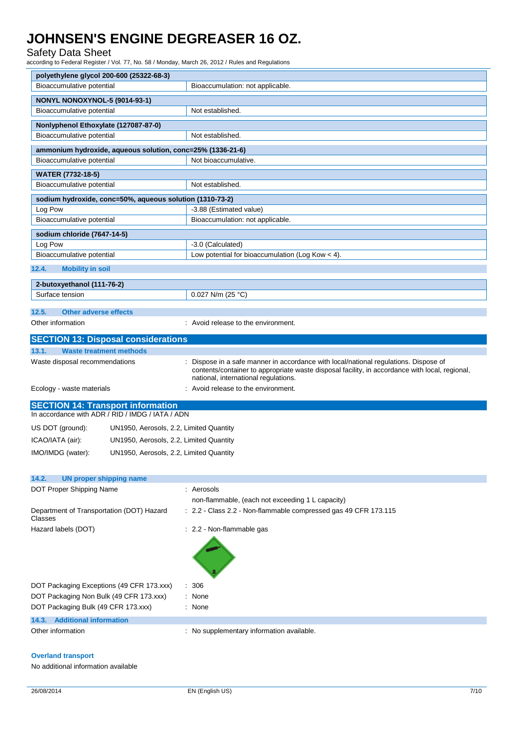#### Safety Data Sheet

according to Federal Register / Vol. 77, No. 58 / Monday, March 26, 2012 / Rules and Regulations

|                                                                                              | polyethylene glycol 200-600 (25322-68-3) |                                                                                                                                        |  |  |
|----------------------------------------------------------------------------------------------|------------------------------------------|----------------------------------------------------------------------------------------------------------------------------------------|--|--|
| Bioaccumulative potential<br>Bioaccumulation: not applicable.                                |                                          |                                                                                                                                        |  |  |
|                                                                                              | NONYL NONOXYNOL-5 (9014-93-1)            |                                                                                                                                        |  |  |
| Bioaccumulative potential                                                                    |                                          | Not established.                                                                                                                       |  |  |
| Nonlyphenol Ethoxylate (127087-87-0)                                                         |                                          |                                                                                                                                        |  |  |
| Bioaccumulative potential                                                                    |                                          | Not established.                                                                                                                       |  |  |
| ammonium hydroxide, aqueous solution, conc=25% (1336-21-6)                                   |                                          |                                                                                                                                        |  |  |
| Bioaccumulative potential                                                                    |                                          | Not bioaccumulative.                                                                                                                   |  |  |
|                                                                                              |                                          |                                                                                                                                        |  |  |
| <b>WATER (7732-18-5)</b><br>Bioaccumulative potential                                        |                                          | Not established.                                                                                                                       |  |  |
|                                                                                              |                                          |                                                                                                                                        |  |  |
| sodium hydroxide, conc=50%, aqueous solution (1310-73-2)<br>Log Pow                          |                                          | -3.88 (Estimated value)                                                                                                                |  |  |
| Bioaccumulative potential                                                                    |                                          | Bioaccumulation: not applicable.                                                                                                       |  |  |
|                                                                                              |                                          |                                                                                                                                        |  |  |
| sodium chloride (7647-14-5)                                                                  |                                          |                                                                                                                                        |  |  |
| Log Pow<br>Bioaccumulative potential                                                         |                                          | -3.0 (Calculated)<br>Low potential for bioaccumulation (Log Kow < 4).                                                                  |  |  |
|                                                                                              |                                          |                                                                                                                                        |  |  |
| 12.4.<br><b>Mobility in soil</b>                                                             |                                          |                                                                                                                                        |  |  |
| 2-butoxyethanol (111-76-2)                                                                   |                                          |                                                                                                                                        |  |  |
| Surface tension                                                                              |                                          | 0.027 N/m (25 °C)                                                                                                                      |  |  |
| <b>Other adverse effects</b><br>12.5.                                                        |                                          |                                                                                                                                        |  |  |
| Other information                                                                            |                                          | : Avoid release to the environment.                                                                                                    |  |  |
|                                                                                              |                                          |                                                                                                                                        |  |  |
| <b>SECTION 13: Disposal considerations</b>                                                   |                                          |                                                                                                                                        |  |  |
| 13.1.<br><b>Waste treatment methods</b>                                                      |                                          |                                                                                                                                        |  |  |
|                                                                                              |                                          |                                                                                                                                        |  |  |
| Waste disposal recommendations                                                               |                                          | Dispose in a safe manner in accordance with local/national regulations. Dispose of                                                     |  |  |
|                                                                                              |                                          | contents/container to appropriate waste disposal facility, in accordance with local, regional,<br>national, international regulations. |  |  |
| Ecology - waste materials                                                                    |                                          | : Avoid release to the environment.                                                                                                    |  |  |
|                                                                                              |                                          |                                                                                                                                        |  |  |
| <b>SECTION 14: Transport information</b><br>In accordance with ADR / RID / IMDG / IATA / ADN |                                          |                                                                                                                                        |  |  |
| US DOT (ground):                                                                             | UN1950, Aerosols, 2.2, Limited Quantity  |                                                                                                                                        |  |  |
| ICAO/IATA (air):                                                                             | UN1950, Aerosols, 2.2, Limited Quantity  |                                                                                                                                        |  |  |
|                                                                                              |                                          |                                                                                                                                        |  |  |
| IMO/IMDG (water):                                                                            | UN1950, Aerosols, 2.2, Limited Quantity  |                                                                                                                                        |  |  |
|                                                                                              |                                          |                                                                                                                                        |  |  |
| 14.2.<br><b>UN proper shipping name</b>                                                      |                                          |                                                                                                                                        |  |  |
| DOT Proper Shipping Name                                                                     |                                          | : Aerosols                                                                                                                             |  |  |
| Department of Transportation (DOT) Hazard                                                    |                                          | non-flammable, (each not exceeding 1 L capacity)<br>: 2.2 - Class 2.2 - Non-flammable compressed gas 49 CFR 173.115                    |  |  |
| Classes                                                                                      |                                          |                                                                                                                                        |  |  |
| Hazard labels (DOT)                                                                          |                                          | : 2.2 - Non-flammable gas                                                                                                              |  |  |
|                                                                                              |                                          |                                                                                                                                        |  |  |
|                                                                                              |                                          |                                                                                                                                        |  |  |
|                                                                                              |                                          |                                                                                                                                        |  |  |
| DOT Packaging Exceptions (49 CFR 173.xxx)                                                    | ÷                                        | 306                                                                                                                                    |  |  |
| DOT Packaging Non Bulk (49 CFR 173.xxx)                                                      |                                          | None                                                                                                                                   |  |  |
| DOT Packaging Bulk (49 CFR 173.xxx)                                                          |                                          | : None                                                                                                                                 |  |  |
| <b>Additional information</b><br>14.3.<br>Other information                                  |                                          | : No supplementary information available.                                                                                              |  |  |

#### **Overland transport**

No additional information available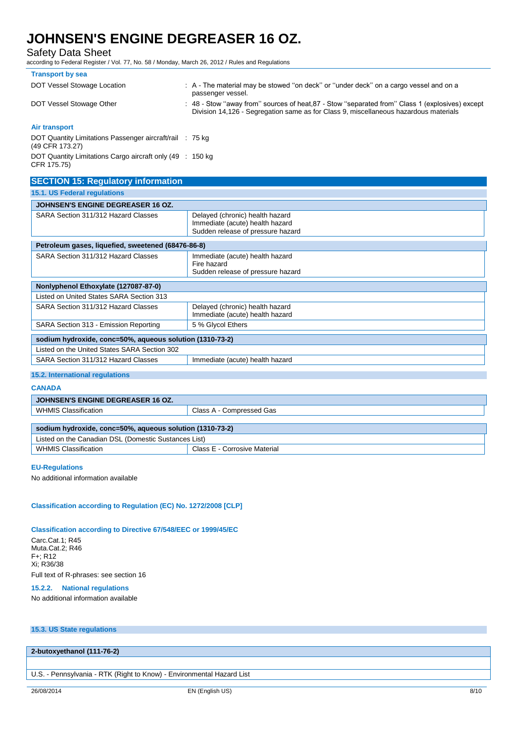Safety Data Sheet

according to Federal Register / Vol. 77, No. 58 / Monday, March 26, 2012 / Rules and Regulations

| <b>Transport by sea</b>                                                     |                                                                                                                                                                                         |
|-----------------------------------------------------------------------------|-----------------------------------------------------------------------------------------------------------------------------------------------------------------------------------------|
| DOT Vessel Stowage Location                                                 | : A - The material may be stowed "on deck" or "under deck" on a cargo vessel and on a<br>passenger vessel.                                                                              |
| DOT Vessel Stowage Other                                                    | : 48 - Stow "away from" sources of heat, 87 - Stow "separated from" Class 1 (explosives) except<br>Division 14,126 - Segregation same as for Class 9, miscellaneous hazardous materials |
| Air transport                                                               |                                                                                                                                                                                         |
| DOT Quantity Limitations Passenger aircraft/rail : 75 kg<br>(49 CFR 173.27) |                                                                                                                                                                                         |
| DOT Quantity Limitations Cargo aircraft only (49 : 150 kg)<br>CFR 175.75)   |                                                                                                                                                                                         |
| <b>SECTION 15: Regulatory information</b>                                   |                                                                                                                                                                                         |

| <b>SLUTION 19. Regulatory implification</b>              |                                                                                                         |  |
|----------------------------------------------------------|---------------------------------------------------------------------------------------------------------|--|
| 15.1. US Federal regulations                             |                                                                                                         |  |
| <b>JOHNSEN'S ENGINE DEGREASER 16 OZ.</b>                 |                                                                                                         |  |
| SARA Section 311/312 Hazard Classes                      | Delayed (chronic) health hazard<br>Immediate (acute) health hazard<br>Sudden release of pressure hazard |  |
| Petroleum gases, liquefied, sweetened (68476-86-8)       |                                                                                                         |  |
| SARA Section 311/312 Hazard Classes                      | Immediate (acute) health hazard<br>Fire hazard<br>Sudden release of pressure hazard                     |  |
| Nonlyphenol Ethoxylate (127087-87-0)                     |                                                                                                         |  |
| Listed on United States SARA Section 313                 |                                                                                                         |  |
| SARA Section 311/312 Hazard Classes                      | Delayed (chronic) health hazard<br>Immediate (acute) health hazard                                      |  |
| SARA Section 313 - Emission Reporting                    | 5 % Glycol Ethers                                                                                       |  |
| sodium hydroxide, conc=50%, aqueous solution (1310-73-2) |                                                                                                         |  |
| Listed on the United States SARA Section 302             |                                                                                                         |  |
| SARA Section 311/312 Hazard Classes                      | Immediate (acute) health hazard                                                                         |  |

#### **15.2. International regulations**

#### **CANADA**

| <b>JOHNSEN'S ENGINE DEGREASER 16 OZ.</b>                 |                              |  |
|----------------------------------------------------------|------------------------------|--|
| WHMIS Classification                                     | Class A - Compressed Gas     |  |
|                                                          |                              |  |
| sodium hydroxide, conc=50%, aqueous solution (1310-73-2) |                              |  |
| Listed on the Canadian DSL (Domestic Sustances List)     |                              |  |
| <b>WHMIS Classification</b>                              | Class E - Corrosive Material |  |

#### **EU-Regulations**

No additional information available

#### **Classification according to Regulation (EC) No. 1272/2008 [CLP]**

#### **Classification according to Directive 67/548/EEC or 1999/45/EC**

Carc.Cat.1; R45 Muta.Cat.2; R46 F+; R12 Xi; R36/38 Full text of R-phrases: see section 16

#### **15.2.2. National regulations**

No additional information available

#### **15.3. US State regulations**

#### **2-butoxyethanol (111-76-2)**

U.S. - Pennsylvania - RTK (Right to Know) - Environmental Hazard List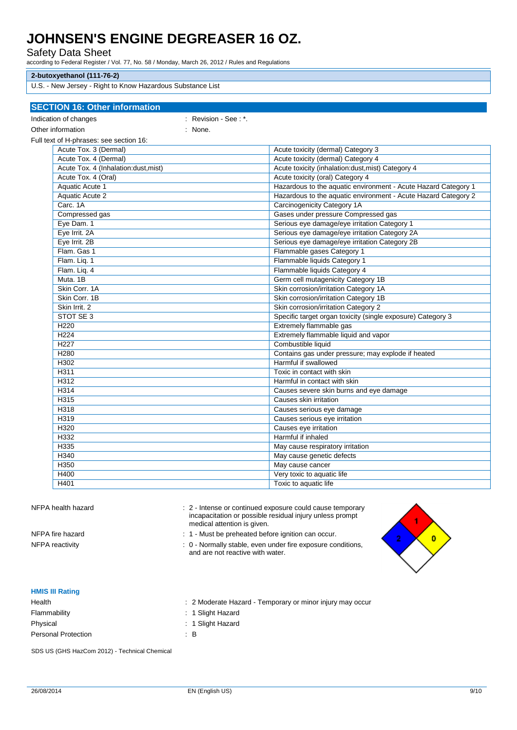Safety Data Sheet

according to Federal Register / Vol. 77, No. 58 / Monday, March 26, 2012 / Rules and Regulations

#### **2-butoxyethanol (111-76-2)**

U.S. - New Jersey - Right to Know Hazardous Substance List

| <b>SECTION 16: Other information</b>    |                      |                                                                |
|-----------------------------------------|----------------------|----------------------------------------------------------------|
| Indication of changes                   | : Revision - See: *. |                                                                |
| Other information                       |                      |                                                                |
|                                         | : None.              |                                                                |
| Full text of H-phrases: see section 16: |                      |                                                                |
| Acute Tox. 3 (Dermal)                   |                      | Acute toxicity (dermal) Category 3                             |
| Acute Tox. 4 (Dermal)                   |                      | Acute toxicity (dermal) Category 4                             |
| Acute Tox. 4 (Inhalation:dust, mist)    |                      | Acute toxicity (inhalation:dust, mist) Category 4              |
| Acute Tox. 4 (Oral)                     |                      | Acute toxicity (oral) Category 4                               |
| <b>Aquatic Acute 1</b>                  |                      | Hazardous to the aquatic environment - Acute Hazard Category 1 |
| <b>Aquatic Acute 2</b>                  |                      | Hazardous to the aquatic environment - Acute Hazard Category 2 |
| Carc. 1A                                |                      | <b>Carcinogenicity Category 1A</b>                             |
| Compressed gas                          |                      | Gases under pressure Compressed gas                            |
| Eye Dam. 1                              |                      | Serious eye damage/eye irritation Category 1                   |
| Eye Irrit. 2A                           |                      | Serious eye damage/eye irritation Category 2A                  |
| Eye Irrit. 2B                           |                      | Serious eye damage/eye irritation Category 2B                  |
| Flam. Gas 1                             |                      | Flammable gases Category 1                                     |
| Flam. Liq. 1                            |                      | Flammable liquids Category 1                                   |
| Flam. Liq. 4                            |                      | Flammable liquids Category 4                                   |
| Muta. 1B                                |                      | Germ cell mutagenicity Category 1B                             |
| Skin Corr. 1A                           |                      | Skin corrosion/irritation Category 1A                          |
| Skin Corr. 1B                           |                      | Skin corrosion/irritation Category 1B                          |
| Skin Irrit. 2                           |                      | Skin corrosion/irritation Category 2                           |
| STOT SE 3                               |                      | Specific target organ toxicity (single exposure) Category 3    |
| H <sub>220</sub>                        |                      | Extremely flammable gas                                        |
| H <sub>224</sub>                        |                      | Extremely flammable liquid and vapor                           |
| H <sub>227</sub>                        |                      | Combustible liquid                                             |
| H <sub>280</sub>                        |                      | Contains gas under pressure; may explode if heated             |
| H302                                    |                      | Harmful if swallowed                                           |
| H311                                    |                      | Toxic in contact with skin                                     |
| H312                                    |                      | Harmful in contact with skin                                   |
| H314                                    |                      | Causes severe skin burns and eye damage                        |
| H315                                    |                      | Causes skin irritation                                         |
| H318                                    |                      | Causes serious eye damage                                      |
| H319                                    |                      | Causes serious eye irritation                                  |
| H320                                    |                      | Causes eye irritation                                          |
| H332                                    |                      | Harmful if inhaled                                             |
| H335                                    |                      | May cause respiratory irritation                               |
| H340                                    |                      | May cause genetic defects                                      |
| H350                                    |                      | May cause cancer                                               |
| H400                                    |                      | Very toxic to aquatic life                                     |
| H401                                    |                      | Toxic to aquatic life                                          |
|                                         |                      |                                                                |

|  |  | NFPA health hazard |
|--|--|--------------------|
|--|--|--------------------|

: 2 - Intense or continued exposure could cause temporary incapacitation or possible residual injury unless prompt medical attention is given.

NFPA fire hazard **NFPA** fire hazard **in the state of the state of the state of the state of the state of the state of the state of the state of the state of the state of the state of the state of the state of the state of** 

NFPA reactivity **interpretative in the state of the ST** is 0 - Normally stable, even under fire exposure conditions, and are not reactive with water.



#### **HMIS III Rating**

| Health                     | : 2 Moderate Ha:  |
|----------------------------|-------------------|
| Flammability               | : 1 Slight Hazard |
| Physical                   | : 1 Slight Hazard |
| <b>Personal Protection</b> | ΞВ                |

lazard - Temporary or minor injury may occur

SDS US (GHS HazCom 2012) - Technical Chemical